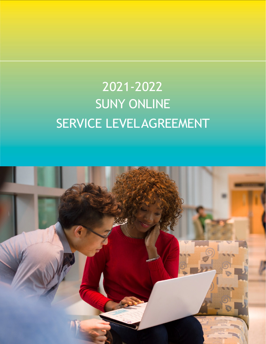# <span id="page-0-0"></span>2021-2022 SUNY ONLINE SERVICE LEVELAGREEMENT

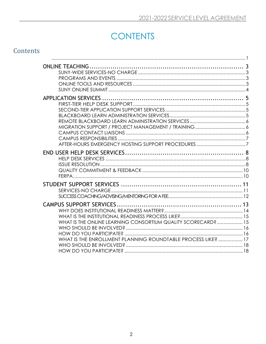# **CONTENTS**

| Contents |                                                              |  |
|----------|--------------------------------------------------------------|--|
|          |                                                              |  |
|          |                                                              |  |
|          |                                                              |  |
|          |                                                              |  |
|          |                                                              |  |
|          |                                                              |  |
|          |                                                              |  |
|          |                                                              |  |
|          |                                                              |  |
|          |                                                              |  |
|          |                                                              |  |
|          |                                                              |  |
|          |                                                              |  |
|          |                                                              |  |
|          |                                                              |  |
|          |                                                              |  |
|          |                                                              |  |
|          |                                                              |  |
|          |                                                              |  |
|          |                                                              |  |
|          |                                                              |  |
|          |                                                              |  |
|          |                                                              |  |
|          |                                                              |  |
|          |                                                              |  |
|          | WHAT IS THE ONLINE LEARNING CONSORTIUM QUALITY SCORECARD? 15 |  |
|          |                                                              |  |
|          |                                                              |  |
|          | WHAT IS THE ENROLLMENT PLANNING ROUNDTABLE PROCESS LIKE?  17 |  |
|          |                                                              |  |
|          |                                                              |  |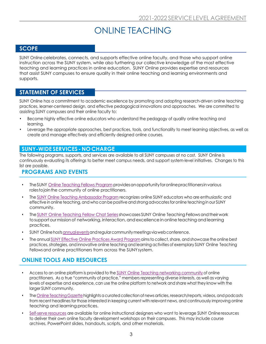# ONLINE TEACHING

#### <span id="page-2-0"></span>**SCOPE**

SUNY Online celebrates, connects, and supports effective online faculty, and those who support online instruction across the SUNY system, while also furthering our collective knowledge of the most effective teaching and learning practices in online education. SUNY Online provides expertise and resources that assist SUNY campuses to ensure quality in their online teaching and learning environments and supports.

#### **STATEMENT OF SERVICES**

SUNY Online has a commitment to academic excellence by promoting and adopting research-driven online teaching practices, learner-centered design, and effective pedagogical innovations and approaches. We are committed to assisting SUNY campuses and their online faculty to:

- Become highly effective online educators who understand the pedagogy of quality online teaching and learning.
- Leverage the appropriate approaches, best practices, tools, and functionality to meet learning objectives, as well as create and manage effectively and efficiently designed online courses.

#### <span id="page-2-1"></span>**SUNY-WIDE SERVICES - NO CHARGE**

The following programs, supports, and services are available to all SUNY campuses at no cost. SUNY Online is continuously evaluating its offerings to better meet campus needs, and support system-level initiatives. Changes to this list are possible.

#### <span id="page-2-2"></span>**PROGRAMS AND EVENTS**

- The SUNY [Online Teaching Fellows Program](https://online.suny.edu/onlineteaching/fellowship-expectations/) provides an opportunity for online practitioners in various rolestojointhe community of online practitioners.
- The [SUNY Online Teaching Ambassador Program](https://online.suny.edu/onlineteaching/engage/ambassadorprogram/ambassadors/) recognizes online SUNY educators who are enthusiastic and effective in online teaching, and who can be positive and strong advocates for online teaching in our SUNY community.
- The SUNY Online Teaching Fellow Chat Series showcases SUNY Online Teaching Fellows and their work to support our mission of networking, interaction, and excellence in online teaching and learning practices.
- SUNY Onlinehost[sannualeventsa](https://online.suny.edu/onlineteaching/events/)ndregularcommunitymeetingsviawebconference.
- The annual [SUNY Effective Online Practices Award Program](https://online.suny.edu/onlineteaching/engage/epawards/) aimsto collect, share, and showcase the online best practices, strategies, and innovative online teaching and learning activities of exemplary SUNY Online Teaching Fellowsand online practitioners from across the SUNYsystem.

# <span id="page-2-3"></span>**ONLINE TOOLS AND RESOURCES**

- Access to an online platform is provided to the [SUNY Online Teaching networking community](https://onlineteaching.open.suny.edu/) of online practitioners. As a true "community of practice," members representing diverse interests, as well as varying levels of expertise and experience, can use the online platform to network and share what they know with the larger SUNY community.
- The Online Teaching Gazette highlights a curated collection of news articles, research/reports, videos, and podcasts from recent headlines for those interested in keeping current with relevant news, and continuously improving online teaching and learning practices.
- [Self-serve resources](https://online.suny.edu/onlineteaching/online-competency-development/self-paced-and-self-serve-training/) are available for online instructional designers who want to leverage SUNY Onlineresources to deliver their own online faculty development workshops on their campuses. This may include course archives, PowerPoint slides, handouts, scripts, and other materials.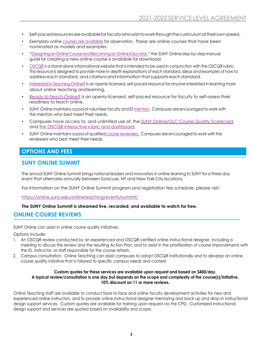- Self-pacedresourcesareavailableforfacultywhowishtoworkthroughthecurriculumattheirownspeed.
- Exemplary online [courses are available](https://bbsupport.sln.suny.edu/bbcswebdav/institution/observation/courses_for_observation.html) for observation. These are online courses that have been nominated as models and examples.
- "Designing an Online Course and Becoming an Online Educator," the SUNY Online step-by-step manual guide for creating a new online course is available for download.
- [OSCQR](http://oscqr.suny.edu/) is a stand-alone informational website that is intendedto be used in conjunction with the OSCQR rubric. This resource is designed to provide more in-depth explanations of each standard, ideas and examples of how to address each standard, and citations and information thatsupports each standard.
- [Interested](https://online.suny.edu/interested/) in Teaching Online? Is an openly-licensed, self-paced resource for anyone interested in learning more about online teaching andlearning.
- [Ready to Teach Online?](https://online.suny.edu/facultyreadiness/) is an openly-licensed, self-paced resource for faculty to self-assess their readiness to teach online.
- SUNY Online maintains a pool of volunteer faculty and ID [mentors.](https://online.suny.edu/onlineteaching/engage/mentors/) Campuses are encouraged to work with the mentors who best meet their needs.
- Campuses have access to, and unlimited use of, the [SUNY Online/OLC Course Quality Scorecard](https://onlinelearningconsortium.org/consult/oscqr-course-design-review/) and the OSCQR [interactive rubric and dashboard.](https://oscqr.suny.edu/get-oscqr/)
- SUNY Online maintains a pool of qualified [course reviewers.](https://online.suny.edu/onlineteaching/engage/course-reviewer-network/) Campuses are encouragedto work with the reviewers who best meet their needs.

### **OPTIONS AND FEES**

#### <span id="page-3-0"></span>**SUNY ONLINE SUMMIT**

The annual SUNY Online Summit brings national leaders and innovators in online learning to SUNY for a three-day event that alternates annually between Syracuse, NY and New York City locations.

For information on the SUNY Online Summit program and registration fee schedule, please visit:

<https://online.suny.edu/onlineteaching/events/summit/>

#### **The SUNY Online Summit is streamed live, recorded, and available to watch for free.**

#### **ONLINE COURSE REVIEWS**

SUNY Online can assist in online course quality initiatives.

Options include:

- 1. An OSCQR review conducted by an experienced and OSCQR-certified online instructional designer, including a meeting to discuss the review and the resulting Action Plan, and to assist in the prioritization of course improvements with the ID, instructor, or staff responsible for the course refresh.
- 2. Campus consultation: Online Teaching can assist campuses to adopt OSCQR institutionally and to develop an online course quality initiative that is tailored to specific campus needs and context.

#### **Custom quotes for these services are available upon request and based on \$400/day. A typical review/consultation is one day but depends on the scope and complexity of the course(s)/initiative. 10% discount on 11 or more reviews.**

Online Teaching staff are available to conduct face to face and online faculty development activities for new and experienced online instructors, and to provide online instructional designer mentoring and back-up and drop-in instructional design support services. Custom quotes are available for training upon request via the CPD. Customized instructional design support and services are quoted based on availability and scope.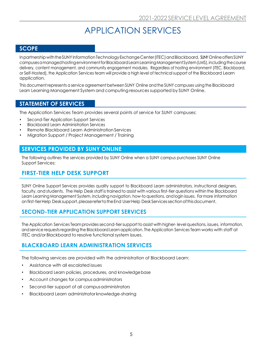# APPLICATION SERVICES

#### <span id="page-4-0"></span>**SCOPE**

Inpartnership with the SUNY Information Technology Exchange Center (ITEC) and Blackboard, SUNY Online offersSUNY campusesamanagedhostingenvironmentforBlackboardLearnLearningManagement System(LMS),includingthecourse delivery, content management, and community engagement modules. Regardless of hosting environment (ITEC, Blackboard, or Self-Hosted), the Application Services team will provide a high level of technical support of the Blackboard Learn application.

This document represents a service agreement between SUNY Online andthe SUNY campuses using the Blackboard Learn Learning Management System and computing resources supported by SUNY Online.

#### **STATEMENT OF SERVICES**

The Application Services Team provides several points of service for SUNY campuses:

- Second-Tier Application Support Services
- Blackboard Learn Administration Services
- **Remote Blackboard Learn Administration Services**
- Migration Support / Project Management / Training

#### **SERVICES PROVIDED BY SUNY ONLINE**

The following outlines the services provided by SUNY Online when a SUNY campus purchases SUNY Online Support Services:

### <span id="page-4-1"></span>**FIRST-TIER HELP DESK SUPPORT**

SUNY Online Support Services provides quality support to Blackboard Learn administrators, instructional designers, faculty, and students. The Help Desk staff is trained to assist with various first-tier questions within the Blackboard Learn Learning Management System, including navigation, how-to questions, and login issues. For more information onfirst-tierHelp Desk support,pleaserefertotheEnd UserHelp Desk Servicessectionofthisdocument.

#### <span id="page-4-2"></span>**SECOND-TIER APPLICATION SUPPORT SERVICES**

The Application Services Team provides second-tier support to assist with higher-level questions, issues, information, andservice requestsregarding the Blackboard Learn application. The Application Services Team works with staff at ITEC and/or Blackboard to resolve functional system issues.

#### <span id="page-4-3"></span>**BLACKBOARD LEARN ADMINISTRATION SERVICES**

The following services are provided with the administration of Blackboard Learn:

- Assistance with all escalated issues
- Blackboard Learn policies, procedures, and knowledge base
- Account changes for campus administrators
- Second-tier support of all campusadministrators
- Blackboard Learn administrator knowledge-sharing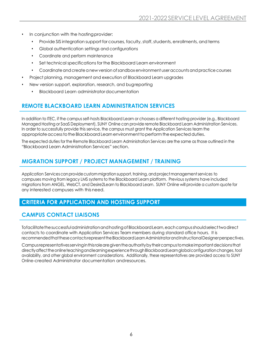- In conjunction with the hosting provider:
	- Provide SIS integration support for courses, faculty, staff, students, enrollments, and terms
	- Global authentication settings and configurations
	- Coordinate and perform maintenance
	- Set technical specifications for the Blackboard Learn environment
	- Coordinate and create a new version of sandbox environment user accounts and practice courses
- Project planning, management and execution of Blackboard Learn upgrades
- New version support, exploration, research, and bugreporting
	- Blackboard Learn administratordocumentation

# <span id="page-5-0"></span>**REMOTE BLACKBOARD LEARN ADMINISTRATION SERVICES**

In addition to ITEC, if the campus self-hosts Blackboard Learn or chooses a different hosting provider (e.g., Blackboard Managed Hosting or SaaS Deployment), SUNY Online can provide remote Blackboard Learn Administration Services. In order to successfully provide this service, the campus must grant the Application Services team the appropriate access to the Blackboard Learn environment to perform the expected duties.

The expected duties forthe Remote Blackboard Learn Administration Services are the same asthose outlined in the "Blackboard Learn Administration Services" section.

# <span id="page-5-1"></span>**MIGRATION SUPPORT / PROJECT MANAGEMENT / TRAINING**

Application Services can provide custom migration support, training, and project management services to campuses moving from legacy LMS systems to the Blackboard Learn platform. Previous systems have included migrations from ANGEL, WebCT, and Desire2Learn to Blackboard Learn. SUNY Online will provide a custom quote for any interested campuses with this need.

# **CRITERIA FOR APPLICATION AND HOSTING SUPPORT**

# <span id="page-5-2"></span>**CAMPUS CONTACT LIAISONS**

Tofacilitate the successful administration and hosting of Blackboard Learn, each campus should select two direct contacts to coordinate with Application Services Team members during standard office hours. It is recommendedthatthesecontactsrepresenttheBlackboardLearnAdministratorandInstructionalDesignerperspectives.

Campusrepresentativesservinginthisrolearegiventheauthoritybytheircampustomakeimportantdecisionsthat directlyaffecttheonlineteachingandlearningexperiencethroughBlackboardLearnglobalconfigurationchanges,tool availability, and other global environment considerations. Additionally, these representatives are provided access to SUNY Online-created Administrator documentation andresources.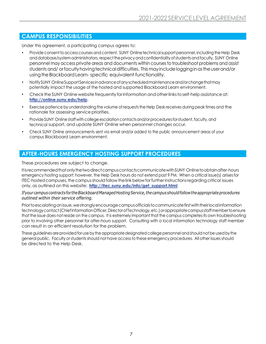### <span id="page-6-0"></span>**CAMPUS RESPONSIBILITIES**

Under this agreement, a participating campus agrees to:

- Provide consent to access courses and content. SUNY Online technical support personnel, including the Help Desk and database/system administrators, respect the privacy and confidentiality of students and faculty. SUNY Online personnel may access private areas and documents within coursesto troubleshoot problems and assist students and/orfaculty having technical difficulties. This may include logging in as the user and/or using the Blackboard Learn-specific equivalent functionality.
- NotifySUNY OnlineSupportServicesinadvanceofanyscheduledmaintenanceand/orchangethatmay potentially impact the usage of the hosted and supported Blackboard Learn environment.
- Check the SUNY Online website frequently for information and otherlinks to self-help assistance at: **<http://online.suny.edu/help>**.
- Exercise patience by understanding the volume of requests the Help Desk receives during peak times and the rationale for assessing service priorities.
- Provide SUNY Online staff with college escalation contacts and/or procedures for student, faculty, and technical support, and update SUNY Online when personnel changes occur.
- Check SUNY Online announcements sent via email and/or added to the public announcement areas of your campus Blackboard Learn environment.

#### <span id="page-6-1"></span>**AFTER-HOURS EMERGENCY HOSTING SUPPORT PROCEDURES**

These procedures are subject to change.

ItisrecommendedthatonlythetwodirectcampuscontactscommunicatewithSUNY Onlinetoobtainafter-hours emergency hosting support; however, the Help Desk hours do not extend past 9 PM. When a critical issue(s) arisesfor ITEC-hosted campuses, the campus should follow the link below for further instructions regarding critical issues only, as outlined on this website: **[http://itec.suny.edu/info/get\\_support.html](http://itec.suny.edu/info/get_support.html)**

#### *Ifyourcampus contractsfor theBlackboardManagedHostingService,thecampus shouldfollowtheappropriateprocedures outlined within their service offering.*

Priortoescalatinganissue,westronglyencouragecampusofficialstocommunicatefirstwiththeirlocal information technology contact (Chief Information Officer, Director of Technology, etc.) or appropriate campusstaff member to ensure that the issue does not reside on the campus. It is extremely important that the campus completes its own troubleshooting prior to involving other personnel for after-hours support. Consulting with a local information technology staff member can result in an efficient resolution for the problem.

These guidelines are provided for use by the appropriate designated college personnel and should not be used by the general public. Faculty orstudents should not have accessto these emergency procedures. All other issues should be directed to the Help Desk.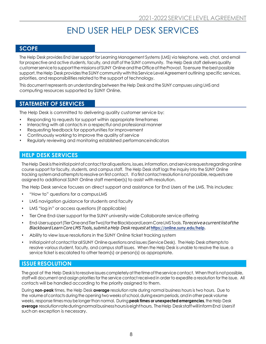# END USER HELP DESK SERVICES

#### <span id="page-7-0"></span>**SCOPE**

The Help Desk provides End User support for Learning Management Systems (LMS) via telephone, web, chat, and email for prospective and active students, faculty, and staff of the SUNY community. The Help Desk staff delivers quality customer service to support the missions of SUNY Online and the Office of the Provost. To ensure the best possible support, the Help Desk provides the SUNY community with this Service Level Agreement outlining specific services, priorities, and responsibilities related to the support of technology.

This document represents an understanding between the Help Desk and the SUNY campuses using LMS and computing resources supported by SUNY Online.

#### **STATEMENT OF SERVICES**

The Help Desk is committed to delivering quality customer service by:

- Responding to requests for support within appropriate timeframes
- Interacting with all contacts in a respectful and professional manner
- Requesting feedback for opportunities for improvement
- Continuously working to improve the quality of service
- Regularly reviewing and monitoring established performanceindicators

#### <span id="page-7-1"></span>**HELP DESK SERVICES**

The Help Deskisthe initial point of contact for all questions, issues, information, and service requests regarding online course support for faculty, students, and campus staff. The Help Desk staff logs the inquiry into the SUNY Online tracking system and attempts to resolve on first contact. If a first contact resolution is not possible, requests are assignedto additional SUNY Online staff member(s) to assist with resolution.

The Help Desk service focuses on direct support and assistance for End Users of the LMS. This includes:

- "How to" questions for a campusLMS
- LMS navigation guidance for students and faculty
- LMS "log in" or access questions (if applicable)
- Tier One End-User support forthe SUNY university-wide Collaborate service offering
- End-Usersupport(TierOneandTierTwo)fortheBlackboardLearnCoreLMSTools.*Toreceiveacurrentlistofthe Blackboard LearnCore LMSTools, submit a Help Desk request at***<https://online.suny.edu/help>***.*
- Ability to view issue resolutions in the SUNY Online ticket tracking system
- Initial point of contact for all SUNY Online questions and issues (Service Desk). The Help Desk attempts to resolve various student, faculty, and campus staff issues. When the Help Desk is unable to resolve the issue, a service ticket is escalated to other team(s) or person(s) as appropriate.

#### <span id="page-7-2"></span>**ISSUE RESOLUTION**

The goal of the Help Desk is to resolve issues completely at the time of the service contact. When that is not possible, staff will document and assign priorities for the service contact received in order to expedite a resolution for the issue. All contacts will be handled according to the priority assigned to them.

During **non-peak** times, the Help Desk **average** resolution rate during normal business hours is two hours. Due to the volume of contacts during the opening two weeks of school, during exam periods, and in other peak volume weeks, response times maybe longerthan normal. During **peak times or unexpected emergencies**,the Help Desk **average** resolutionrateduringnormalbusinesshoursiseighthours. TheHelp Deskstaffwill informEnd Usersif suchan exception is necessary.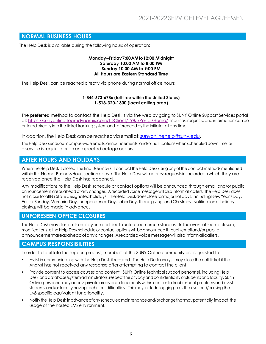#### **NORMAL BUSINESS HOURS**

The Help Desk is available during the following hours of operation:

#### **Monday–Friday7:00AMto12:00 Midnight Saturday 10:00 AM to 8:00 PM Sunday 10:00 AM to 9:00 PM All Hours are Eastern Standard Time**

The Help Desk can be reached directly via phone during normal office hours:

#### **1-844-673-6786 (toll-free within the United States) 1-518-320-1300 (local calling area)**

The **preferred** method to contact the Help Desk is via the web by going to SUNY Online Support Services portal at:<https://sunyonline.teamdynamix.com/TDClient/1985/Portal/Home/> Inquiries, requests, andinformation can be entered directly into the ticket tracking system and referenced by the initiator at any time.

In addition, the Help Desk can be reached via email at: sunyonlinehelp@suny.edu.

The Help Desk sends out campus-wide emails, announcements, and/ornotifications when scheduled downtime for a service is required or an unexpected outage occurs.

#### **AFTER HOURS AND HOLIDAYS**

When the Help Desk is closed, the End User may still contact the Help Desk using any of the contact methods mentioned within the Normal Business Hours section above. The Help Desk will address requests in the order in which they are received once the Help Desk has reopened.

Any modifications to the Help Desk schedule or contact options will be announced through email and/or public announcement areas ahead of any changes. A recorded voice message will also inform all callers. The Help Desk does not closeforallNYStatedesignatedholidays. TheHelp Deskdoescloseformajorholidays,includingNewYear'sDay, Easter Sunday, Memorial Day, Independence Day, Labor Day, Thanksgiving, and Christmas. Notification of holiday closings will be made in advance.

#### **UNFORESEEN OFFICE CLOSURES**

TheHelp Deskmaycloseinitsentiretyorinpartduetounforeseencircumstances. Intheeventofsucha closure, modifications to the Help Desk schedule or contact options will be announced through email and/or public announcementareasaheadofanychanges. Arecordedvoicemessagewillalsoinformallcallers.

#### **CAMPUS RESPONSIBILITIES**

In order to facilitate the support process, members of the SUNY Online community are requested to:

- Assist in communicating with the Help Desk if required. The Help Desk analyst may close the call ticket if the Analyst has not received any response after attempting to contact the client.
- Provide consent to access courses and content. SUNY Online technical support personnel, including Help Desk and database/system administrators, respect the privacy and confidentiality of students and faculty. SUNY Online personnel may access private areas and documents within coursesto troubleshoot problems and assist students and/or faculty having technical difficulties. This may include logging in as the user and/or using the LMS specific equivalent functionality.
- Notify the Help Desk in advance of any scheduled maintenance and/orchange that may potentially impact the usage of the hosted LMSenvironment.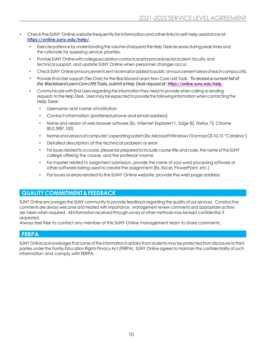- Check the SUNY Online website frequently for information and other links to self-help assistance at: **<https://online.suny.edu/help/>**.
	- Exercise patience by understanding the volume of requests the Help Desk receives during peak times and the rationale for assessing service priorities.
	- Provide SUNY Online with college escalation contacts and/orprocedures for student, faculty, and technical support, and update SUNY Online when personnel changes occur.
	- Check SUNY Online announcements sent via email or added to public announcement areas of each campus LMS.
	- Provide End-User support (Tier One) for the Blackboard Learn Non-Core LMS Tools. *To receive a current list of the Blackboard LearnCore LMSTools, submit a Help Desk request at:***[https://online.suny.edu/help](https://online.suny.edu/help.)**.
	- Communicate with End Users regarding the information they need to provide when calling or sending requests to the Help Desk. Users may be expected to provide the following information when contacting the Help Desk:
		- Username and name ofinstitution
		- Contact information (preferred phone and email address)
		- Name and version of web browser software (Ex. Internet Explorer11, Edge 82, Firefox 73, Chrome 80.0.3987.100)
		- Name and version of computer's operating system (Ex: Microsoft Windows 10 ormacOS 10.15 "Catalina")
		- Detailed description of the technical problem or error
		- For issues related to a course, please be prepared to include course title and code, the name of the SUNY college offering the course, and the professor'sname
		- For inquiries related to assignment submission, provide the name of your word processing software or other software being used to create the assignment (Ex. Excel, PowerPoint, etc.)
		- For issues or errorsrelated to the SUNY Online website, provide the web page address

#### <span id="page-9-0"></span>**QUALITYCOMMITMENT&FEEDBACK**

SUNY Online encouragesthe SUNY community to provide feedback regarding the quality of ourservices. Constructive comments are always welcome and treated with importance. Management review comments and appropriate actions are taken when required. All information received through survey or other methods may be kept confidential, if requested.

Always feel free to contact any member of the SUNY Online management team to share comments.

#### <span id="page-9-1"></span>**FERPA**

SUNY Online acknowledges that some of the information it obtains from students may be protected from disclosure to third parties under the Family Education Rights Privacy Act (FERPA). SUNY Online agrees to maintain the confidentiality of such information and comply with FERPA.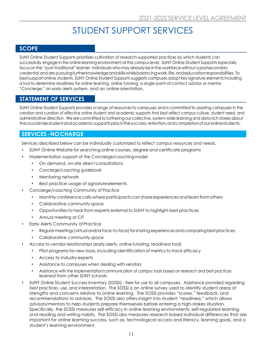# STUDENT SUPPORT SERVICES

#### <span id="page-10-0"></span>**SCOPE**

SUNY Online Student Supports prioritizes cultivation of research-supported practices by which students can successfully engage in the online learning environment atthe campus level. SUNY Online Student Supports especially focus on the "post-traditional" learner: individuals who may already be in the workforce without a postsecondary credential and are pursuingfurtherknowledgeandskillswhilebalancingwork,life,andeducationresponsibilities. To bestsupportonline students, SUNY Online Student Supports suggests campuses adopt key signature elements including a tool to determine readiness for online learning, online tutoring, a single-point-of-contact advisor or mentor "Concierge," an early alerts system, and an online orientation.

# **STATEMENT OF SERVICES**

SUNY Online Student Supports provides a range of resources to campuses and is committed to assisting campuses in the creation and curation of effective online student and academic supports that best reflect campus culture, student need, and administrative direction. We are committed to furthering our collective, system-wide learning and data-rich stories about thecrucialrolestudentandacademicsupportsplayinthesuccess,retention,andcompletionofouronlinestudents.

#### <span id="page-10-1"></span>**SERVICES-NOCHARGE**

Services described below can be individually customized to reflect campus resources and needs.

- SUNY Online Website forsearching online courses, degree and certificate programs
	- Implementation support of the Concierge/coachingmodel
		- On demand, on-site direct consultations
		- Concierge/coaching guidebook
		- Mentoring network
		- Best practice usage of signature elements
- Concierge/coaching Community of Practice
	- Monthly conference calls where participants can share experiences and learn from others
	- Collaborative community space
	- Opportunitiesto hear from experts external to SUNY to highlight best practices
	- Annual meeting at CIT
- **Early Alerts Community of Practice** 
	- Regular meetings (virtual and/or face-to-face) for sharing experiences and comparing best practices.
	- Collaborative community space
- Access to vendor relationships (early alerts, online tutoring, readiness tool)
	- Pilot programs for new tools, including identification of metrics to track efficacy
	- Access to industry experts
	- Assistance to campuses when dealing withvendors
	- Assistance with the implementation/communication of campus tools based on research and best practices learned from other SUNY schools
- SUNY Online Student Success Inventory (SOSSI) free for use to all campuses. Assistance provided regarding best practices, use, and interpretation. The SOSSI is an online survey used to identify student areas of strengths and concerns relative to online learning. The SOSSI provides "scores," feedback, and recommendations to advisors. The SOSSI also offers insight into student "readiness," which allows advisors/mentors to help students prepare themselves before entering a high-stakes situation. Specifically, the SOSSI measures self-efficacy in online learning environments, self-regulated learning, and reading and writing habits. The SOSSI also measures research based individual differences that are important for online learning success, such as, technological access and literacy, learning goals, and a student's learning environment.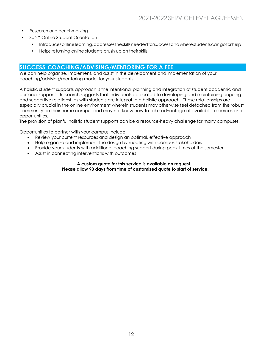- Research and benchmarking
- SUNY Online Student Orientation
	- Introducesonlinelearning, addressestheskillsneededforsuccessandwherestudentscangoforhelp
	- Helps returning online students brush up on their skills

#### <span id="page-11-0"></span>**SUCCESS COACHING/ADVISING/MENTORING FOR A FEE**

We can help organize, implement, and assist in the development and implementation of your coaching/advising/mentoring model for your students.

A holistic student supports approach is the intentional planning and integration of student academic and personal supports. Research suggests that individuals dedicated to developing and maintaining ongoing and supportive relationships with students are integral to a holistic approach. These relationships are especially crucial in the online environment wherein students may otherwise feel detached from the robust community on their home campus and may not know how to take advantage of available resources and opportunities.

The provision of planful holistic student supports can be a resource-heavy challenge for many campuses.

Opportunities to partner with your campus include:

- Review your current resources and design an optimal, effective approach
- Help organize and implement the design by meeting with campus stakeholders
- Provide your students with additional coaching support during peak times of the semester
- Assist in connecting interventions with outcomes

#### **A custom quote for this service is available on request. Please allow 90 days from time of customized quote to start of service.**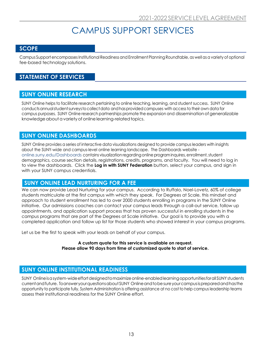# CAMPUS SUPPORT SERVICES

#### <span id="page-12-0"></span>**SCOPE**

Campus Support encompasses Institutional Readiness and Enrollment Planning Roundtable, as well as a variety of optional fee-based technology solutions.

### **STATEMENT OF SERVICES**

#### **SUNY ONLINE RESEARCH**

SUNY Online helps to facilitate research pertaining to online teaching, learning, and student success. SUNY Online conductsannualstudentsurveystocollectdata andhasprovidedcampuses with accessto their own data for campus purposes. SUNY Online research partnerships promote the expansion and disseminationofgeneralizable knowledge about a variety of online learning-related topics.

#### **SUNY ONLINE DASHBOARDS**

SUNY Online provides a series of interactive data visualizations designed to provide campus leaders with insights about the SUNY-wide and campus-level online learning landscape. The Dashboards website online.suny.edu/Dashboards contains visualization regardingonlineprograminquires, enrollment,student demographics, course section details, registrations, credits, programs, and faculty. You will need to log in to view the dashboards. Click the **Log in with SUNY Federation** button, select your campus, and sign in with your SUNY campus credentials.

#### **SUNY ONLINE LEAD NURTURING FOR A FEE**

We can now provide Lead Nurturing for your campus. According to Ruffalo, Noel-Lovetz, 60% of college students matriculate at the first campus with which they speak. For Degrees at Scale, this mindset and approach to student enrollment has led to over 2000 students enrolling in programs in the SUNY Online initiative. Our admissions coaches can contact your campus leads through a call-out service, follow up appointments, and application support process that has proven successful in enrolling students in the campus programs that are part of the Degrees at Scale initiative. Our goal is to provide you with a completed application and follow up list for those students who showed interest in your campus programs.

Let us be the first to speak with your leads on behalf of your campus.

**A custom quote for this service is available on request. Please allow 90 days from time of customized quote to start of service.**

#### **SUNY ONLINE INSTITUTIONAL READINESS**

SUNY Onlineisasystem-wideeffortdesignedtomaximizeonline-enabledlearningopportunitiesforall SUNYstudents currentandfuture. Toansweryourquestionsabout SUNY Onlineandtobesureyourcampusispreparedandhasthe opportunity to participate fully, System Administration is offering assistance at no cost to help campus leadership teams assess their institutional readiness for the SUNY Online effort.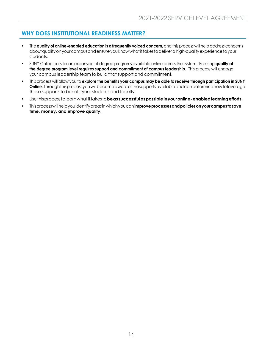# <span id="page-13-0"></span>**WHY DOES INSTITUTIONAL READINESS MATTER?**

- The **quality of online-enabled education is a frequently voiced concern**, and this process will help address concerns about quality on your campus and ensure you know what it takes to deliver a high-quality experience to your students.
- SUNY Online calls for an expansion of degree programs available online across the system. Ensuring **quality at the degree program level requires support and commitment of campus leadership**. This process will engage your campus leadership team to build that support and commitment.
- This process will allow you to **explore the benefits your campus may be able to receive through participation in SUNY Online**. Throughthisprocessyouwillbecomeawareofthesupportsavailableandcandeterminehowtoleverage those supports to benefit your students and faculty.
- Usethisprocesstolearnwhatittakesto**beas successfulaspossibleinyouronline-enabledlearningefforts**.
- Thisprocesswillhelpyouidentifyareasinwhichyoucan**improveprocessesandpoliciesonyourcampustosave time, money, and improve quality**.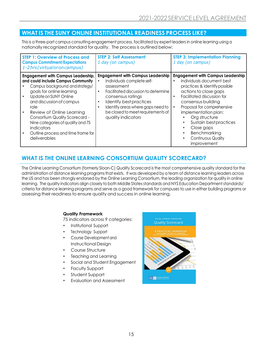### <span id="page-14-0"></span>**WHAT IS THE SUNY ONLINE INSTITUTIONAL READINESS PROCESS LIKE?**

This is a three-part campus consulting engagement process, facilitated by expert leaders in online learning using a nationally recognized standard for quality. The process is outlined below:

| <b>STEP 1: Overview of Process and</b><br><b>Campus Commitment/Expectations</b><br>1-2hrs (virtual or on campus)                                                                                                                                                                                                                                                                            | <b>STEP 2: Self Assessment</b><br>1 day (on campus)                                                                                                                                                                                                                         | <b>STEP 3: Implementation Planning</b><br>1 day (on campus)                                                                                                                                                                                                                                                                                                                 |
|---------------------------------------------------------------------------------------------------------------------------------------------------------------------------------------------------------------------------------------------------------------------------------------------------------------------------------------------------------------------------------------------|-----------------------------------------------------------------------------------------------------------------------------------------------------------------------------------------------------------------------------------------------------------------------------|-----------------------------------------------------------------------------------------------------------------------------------------------------------------------------------------------------------------------------------------------------------------------------------------------------------------------------------------------------------------------------|
| <b>Engagement with Campus Leadership,</b><br>and could include Campus Community<br>Campus background and strategy/<br>goals for online learning<br>Update on SUNY Online<br>and discussion of campus<br>role<br>Review of Online Learning<br><b>Consortium Quality Scorecard -</b><br>Nine categories of quality and 75<br>indicators<br>Outline process and time frame for<br>deliverables | <b>Engagement with Campus Leadership</b><br>Individuals complete self-<br>assessment<br>Facilitated discussion to determine<br>consensus ratings<br>Identify best practices<br>Identify areas where gaps need to<br>be closed to meet requirements of<br>quality indicators | <b>Engagement with Campus Leadership</b><br>Individuals document best<br>$\bullet$<br>practices & identify possible<br>actions to close gaps<br>Facilitated discussion for<br>consensus building<br>Proposal for comprehensive<br>implementation plan:<br>Org structure<br>Sustain best practices<br>Close gaps<br>Benchmarking<br><b>Continuous Quality</b><br>improvement |

# <span id="page-14-1"></span>**WHAT IS THE ONLINE LEARNING CONSORTIUM QUALITY SCORECARD?**

The Online Learning Consortium (formerly Sloan-C) Quality Scorecard is the most comprehensive quality standard for the administration of distance learning programsthat exists. It was developed by a team of distance learning leaders across the US and has been strongly endorsed by the Online Learning Consortium, the leading organization for quality in online learning. The quality indicators align closely to both Middle States standards and NYS Education Department standards/ criteria for distance learning programs and serve as a good framework for campuses to use in either building programs or assessing their readiness to ensure quality and success in online learning.

#### **Quality Framework**

75 indicators across 9 categories:

- Institutional Support
- Technology Support
- Course Development and Instructional Design
- Course Structure
- Teaching and Learning
- Social and Student Engagement
- Faculty Support
- Student Support
- Evaluation and Assessment

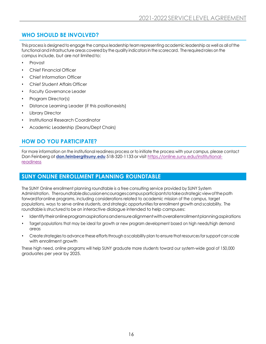# <span id="page-15-0"></span>**WHO SHOULD BE INVOLVED?**

This process is designed to engage the campus leadership team representing academic leadership as well as all of the functional and infrastructure areas covered by the quality indicators in the scorecard. The required roles on the campus include, but are not limited to:

- Provost
- Chief Financial Officer
- Chief Information Officer
- Chief Student Affairs Officer
- **Faculty Governance Leader**
- Program Director(s)
- Distance Learning Leader (if this positionexists)
- Library Director
- Institutional Research Coordinator
- Academic Leadership (Deans/Dept Chairs)

# <span id="page-15-1"></span>**HOW DO YOU PARTICIPATE?**

For more information on the institutional readiness process or to initiate the process with your campus, please contact Dan Feinberg at **[dan.feinberg@suny.edu](mailto:dan.feinberg@suny.edu)** 518-320-1133 or visit [https.//online.suny.edu/institutional](https://online.suny.edu/institutional-readiness/)[readiness](https://online.suny.edu/institutional-readiness/)

# **SUNY ONLINE ENROLLMENT PLANNING ROUNDTABLE**

The SUNY Online enrollment planning roundtable is a free consulting service provided by SUNY System Administration. Theroundtablediscussionencouragescampusparticipantstotakeastrategicviewofthepath forwardforonline programs, including considerations related to academic mission of the campus, target populations, ways to serve online students, and strategic opportunities for enrollment growth and scalability. The roundtable is structured to be an interactive dialogue intended to help campuses:

- Identifytheironlineprogramaspirationsandensurealignmentwithoverallenrollmentplanningaspirations
- Target populations that may be ideal for growth or new program development based on high needs/high demand areas
- Create strategies to advance these efforts through a scalability plan to ensure that resources for support can scale with enrollment growth

These high need, online programs will help SUNY graduate more students toward our system-wide goal of 150,000 graduates per year by 2025.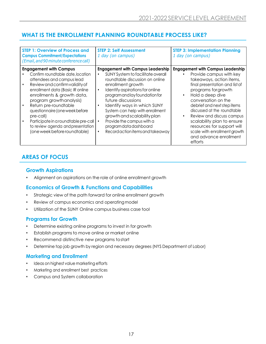# <span id="page-16-0"></span>**WHAT IS THE ENROLLMENT PLANNING ROUNDTABLE PROCESS LIKE?**

| <b>STEP 1: Overview of Process and</b><br><b>Campus Commitment/Expectations</b><br>(Email, and 90 minute conference call)                                                                                                                                                                                                                                                                                           | <b>STEP 2: Self Assessment</b><br>1 day (on campus)                                                                                                                                                                                                                                                                                                                                                                                                    | <b>STEP 3: Implementation Planning</b><br>1 day (on campus)                                                                                                                                                                                                                                                                                                                                                                                  |
|---------------------------------------------------------------------------------------------------------------------------------------------------------------------------------------------------------------------------------------------------------------------------------------------------------------------------------------------------------------------------------------------------------------------|--------------------------------------------------------------------------------------------------------------------------------------------------------------------------------------------------------------------------------------------------------------------------------------------------------------------------------------------------------------------------------------------------------------------------------------------------------|----------------------------------------------------------------------------------------------------------------------------------------------------------------------------------------------------------------------------------------------------------------------------------------------------------------------------------------------------------------------------------------------------------------------------------------------|
| <b>Engagement with Campus</b><br>Confirm roundtable date, location<br>attendees and campus lead<br>Review and confirm validity of<br>enrollment data (Basic IR online<br>enrollments & growth data,<br>program growthanalysis)<br>Return pre-roundtable<br>questionnaire (one week before<br>pre-call)<br>Participate in a roundtable pre-call<br>to review agenda and presentation<br>(one week before roundtable) | <b>Engagement with Campus Leadership</b><br>SUNY System to facilitate overall<br>roundtable discussion on online<br>enrollment growth<br>Identify aspirations for online<br>$\bullet$<br>program and lay foundation for<br>future discussions<br>Identify ways in which SUNY<br>System can help with enrollment<br>growth and scalability plan<br>Provide the campus with a<br>program data dashboard<br>Record action items and takeaway<br>$\bullet$ | <b>Engagement with Campus Leadership</b><br>Provide campus with key<br>takeaways, action items,<br>final presentation and list of<br>programs for growth<br>Hold a deep dive<br>$\bullet$<br>conversation on the<br>debrief and next step items<br>discussed at the roundtable<br>Review and discuss campus<br>scalability plan to ensure<br>resources for support will<br>scale with enrollment growth<br>and advance enrollment<br>efforts |

# **AREAS OF FOCUS**

#### **Growth Aspirations**

• Alignment on aspirations on the role of online enrollment growth

#### **Economics of Growth & Functions and Capabilities**

- Strategic view of the path forward for online enrollment growth
- Review of campus economics and operatingmodel
- Utilization of the SUNY Online campus business case tool

#### **Programs for Growth**

- Determine existing online programs to invest in for growth
- Establish programs to move online or market online
- Recommend distinctive new programs tostart
- Determine top job growth by region and necessary degrees (NYS Department of Labor)

#### **Marketing and Enrollment**

- Ideas on highest value marketing efforts
- Marketing and enrollment best practices
- Campus and System collaboration